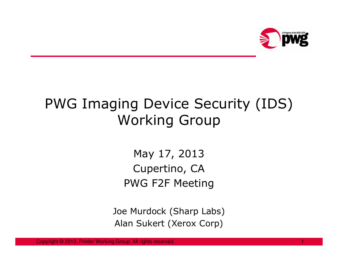

# PWG Imaging Device Security (IDS) Working Group

May 17, 2013 Cupertino, CAPWG F2F Meeting

Joe Murdock (Sharp Labs)Alan Sukert (Xerox Corp)

Copyright © 2013, Printer Working Group. All rights reserved.a di sebagai kecamatan ing kabupatèn Kabupatèn Bandaran Kabupatèn Kabupatèn Kabupatèn Kabupatèn Kabupatèn Kabu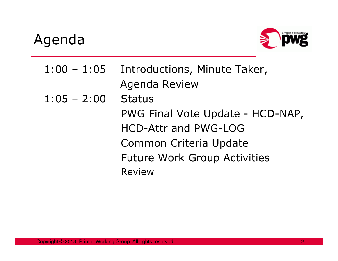## Agenda



1:00 – 1:05 Introductions, Minute Taker, Agenda Review1:05 – 2:00 Status PWG Final Vote Update - HCD-NAP, HCD-Attr and PWG-LOG Common Criteria UpdateFuture Work Group ActivitiesReview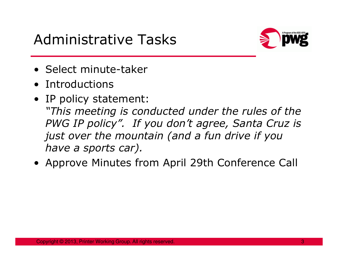## Administrative Tasks



- Select minute-taker<br>• Introductions
- Introductions<br>• IP paliew stat
- IP policy statement:<br>This meeting is cor "This meeting is conducted under the rules of the PWG IP policy". If you don't agree, Santa Cruz is just over the mountain (and a fun drive if you have a sports car).
- Approve Minutes from April 29th Conference Call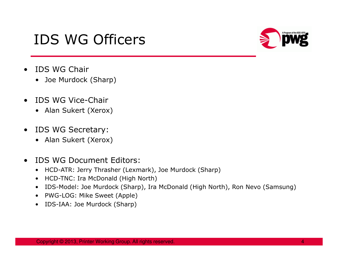## IDS WG Officers



- • IDS WG Chair
	- Joe Murdock (Sharp)
- $\bullet$  IDS WG Vice-Chair
	- Alan Sukert (Xerox)
- $\bullet$  IDS WG Secretary:
	- Alan Sukert (Xerox)
- $\bullet$  IDS WG Document Editors:
	- HCD-ATR: Jerry Thrasher (Lexmark), Joe Murdock (Sharp)
	- •HCD-TNC: Ira McDonald (High North)
	- •IDS-Model: Joe Murdock (Sharp), Ira McDonald (High North), Ron Nevo (Samsung)
	- PWG-LOG: Mike Sweet (Apple)
	- $\bullet$ IDS-IAA: Joe Murdock (Sharp)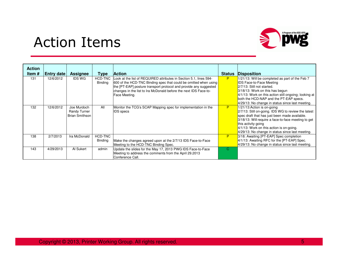### Action Items



| <b>Action</b><br>Item # | Entry date | <b>Assignee</b>                                      | Type                      | <b>Action</b>                                                                                                                                                                                                                                                                                    | <b>Status</b> | <b>Disposition</b>                                                                                                                                                                                                                                                                                                   |
|-------------------------|------------|------------------------------------------------------|---------------------------|--------------------------------------------------------------------------------------------------------------------------------------------------------------------------------------------------------------------------------------------------------------------------------------------------|---------------|----------------------------------------------------------------------------------------------------------------------------------------------------------------------------------------------------------------------------------------------------------------------------------------------------------------------|
| 131                     | 12/6/2012  | <b>IDS WG</b>                                        | <b>HCD-TNC</b><br>Binding | Look at the list of REQUIRED attributes in Section 5.1, lines 594-<br>600 of the HCD-TNC Binding spec that could be omitted when using<br>the [PT-EAP] posture transport protocol and provide any suggested<br>changes in the list to Ira McDonald before the next IDS Face-to-<br>Face Meeting. | <b>P</b>      | 1/21/13: Will be completed as part of the Feb 7<br><b>IDS Face-to-Face Meeting</b><br>2/7/13: Still not started.<br>3/18/13: Work on this has begun<br>$4/1/13$ : Work on this action still ongoing; looking at<br>both the HCD-NAP and the PT-EAP specs.<br>$4/29/13$ : No change in status since last meeting.     |
| 132                     | 12/6/2012  | Joe Murdoch<br>Randy Turner<br><b>Brian Smithson</b> | All                       | Monitor the TCG's SCAP Mapping spec for implementation in the<br><b>IDS</b> specs                                                                                                                                                                                                                | P             | 1/21/13: Action is on-going<br>2/7/13: Still on-going. IDS WG to review the latest<br>spec draft that has just been made available.<br>3/18/13: Will require a face-to-face meeting to get<br>this activity going<br>$4/1/13$ : Work on this action is on-going.<br>4/29/13: No change in status since last meeting. |
| 138                     | 2/7/2013   | Ira McDonald                                         | <b>HCD-TNC</b><br>Binding | Make the changes agreed upon at the 2/7/13 IDS Face-to-Face<br>Meeting to the HCD-TNC Binding Spec.                                                                                                                                                                                              | P             | 3/18: Awaiting [PT-EAP] Spec completion<br>4/1/13: Awaiting RFC for the [PT-EAP] Spec.<br>$4/29/13$ : No change in status since last meeting.                                                                                                                                                                        |
| 143                     | 4/29/2013  | Al Sukert                                            | admin                     | Update the slides for the May 17, 2013 PWG IDS Face-to-Face<br>Meeting to address the comments from the April 29.2013<br>Conference Call.                                                                                                                                                        | <sup>C</sup>  |                                                                                                                                                                                                                                                                                                                      |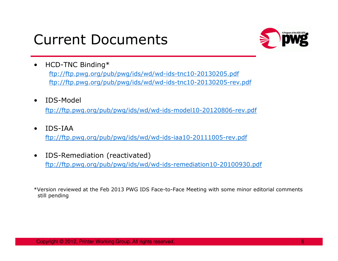## Current Documents



- $\bullet$  HCD-TNC Binding\* ftp://ftp.pwg.org/pub/pwg/ids/wd/wd-ids-tnc10-20130205.pdfftp://ftp.pwg.org/pub/pwg/ids/wd/wd-ids-tnc10-20130205-rev.pdf
- $\bullet$ IDS-Model

ftp://ftp.pwg.org/pub/pwg/ids/wd/wd-ids-model10-20120806-rev.pdf

- $\bullet$  IDS-IAA ftp://ftp.pwg.org/pub/pwg/ids/wd/wd-ids-iaa10-20111005-rev.pdf
- $\bullet$  IDS-Remediation (reactivated) ftp://ftp.pwg.org/pub/pwg/ids/wd/wd-ids-remediation10-20100930.pdf

\*Version reviewed at the Feb 2013 PWG IDS Face-to-Face Meeting with some minor editorial comments still pending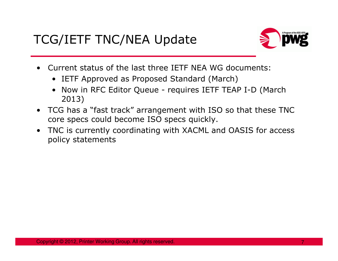#### TCG/IETF TNC/NEA Update



- Current status of the last three IETF NEA WG documents:<br>example: TETE Approved as Prepased Standard (March)
	- **IETF Approved as Proposed Standard (March)**<br>• Naw in REG Editor Queue requires IETE TEAL
	- Now in RFC Editor Queue requires IETF TEAP I-D (March 2013)
- TCG has a "fast track" arrangement with ISO so that these TNC<br>core specs could become ISO specs quickly core specs could become ISO specs quickly.
- • TNC is currently coordinating with XACML and OASIS for access policy statements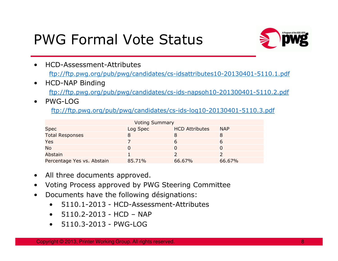## PWG Formal Vote Status



- HCD-Assessment-Attributes ftp://ftp.pwg.org/pub/pwg/candidates/cs-idsattributes10-20130401-5110.1.pdf
- $\bullet$  HCD-NAP Binding ftp://ftp.pwg.org/pub/pwg/candidates/cs-ids-napsoh10-201300401-5110.2.pdf
- •PWG-LOG

ftp://ftp.pwg.org/pub/pwg/candidates/cs-ids-log10-20130401-5110.3.pdf

| <b>Voting Summary</b>      |          |                       |            |  |  |  |  |
|----------------------------|----------|-----------------------|------------|--|--|--|--|
| <b>Spec</b>                | Log Spec | <b>HCD Attributes</b> | <b>NAP</b> |  |  |  |  |
| <b>Total Responses</b>     |          |                       |            |  |  |  |  |
| Yes                        |          |                       |            |  |  |  |  |
| <b>No</b>                  |          |                       |            |  |  |  |  |
| <b>Abstain</b>             |          |                       |            |  |  |  |  |
| Percentage Yes vs. Abstain | 85.71%   | 66.67%                | 66.67%     |  |  |  |  |
|                            |          |                       |            |  |  |  |  |

- $\bullet$ All three documents approved.
- $\bullet$ Voting Process approved by PWG Steering Committee
- • Documents have the following désignations:
	- •5110.1-2013 - HCD-Assessment-Attributes
	- 5110.2-2013 HCD NAP
	- 5110.3-2013 PWG-LOG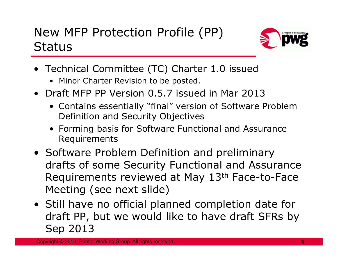### New MFP Protection Profile (PP) **Status**



- Technical Committee (TC) Charter 1.0 issued
	- Minor Charter Revision to be posted.<br>Note that  $\overline{P}$  and  $\overline{P}$  and  $\overline{P}$  and  $\overline{P}$  and  $\overline{P}$  and  $\overline{P}$  and  $\overline{P}$  and  $\overline{P}$  and  $\overline{P}$  and  $\overline{P}$  and  $\overline{P}$  and  $\overline{P}$  and  $\overline{P}$  and  $\overline$
- Draft MFP PP Version 0.5.7 issued in Mar 2013
	- Contains essentially "final" version of Software Problem Definition and Security Objectives
	- Forming basis for Software Functional and Assurance Requirements
- Software Problem Definition and preliminary<br>drafts of some Security Functional and Assur drafts of some Security Functional and Assurance Requirements reviewed at May 13th Face-to-Face Meeting (see next slide)
- Still have no official planned completion date for draft PP, but we would like to have draft SFRs by Sep 2013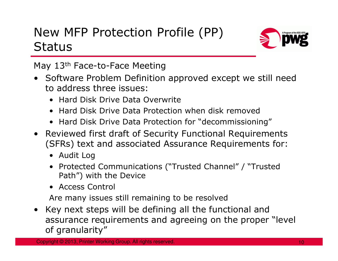### New MFP Protection Profile (PP) **Status**



May 13<sup>th</sup> Face-to-Face Meeting

- Software Problem Definition approved except we still need<br>to address three issues: to address three issues:
	- Hard Disk Drive Data Overwrite
	- Hard Disk Drive Data Protection when disk removed
	- Hard Disk Drive Data Protection for "decommissioning"
- Reviewed first draft of Security Functional Requirements (SFRs) text and associated Assurance Requirements for:
	- Audit Log
	- Protected Communications ("Trusted Channel" / "Trusted<br>Path") with the Device Path") with the Device
	- Access Control

Are many issues still remaining to be resolved

Key next steps will be defining all the functional and<br>assurance requirements and agreeing on the proper •assurance requirements and agreeing on the proper "level of granularity"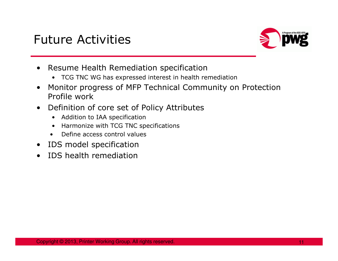

- $\bullet$  Resume Health Remediation specification
	- TCG TNC WG has expressed interest in health remediation
- $\bullet$  Monitor progress of MFP Technical Community on Protection Profile work
- Definition of core set of Policy Attributes  $\bullet$ 
	- Addition to IAA specification
	- $\bullet$ Harmonize with TCG TNC specifications
	- •Define access control values
- $\bullet$ IDS model specification
- •IDS health remediation